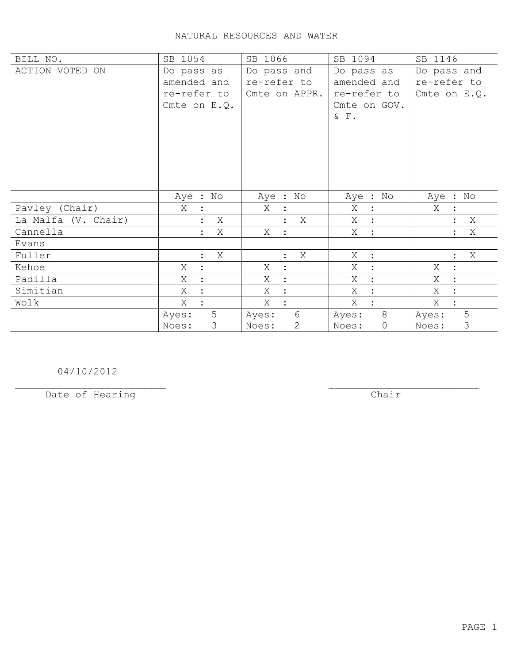## NATURAL RESOURCES AND WATER

| BILL NO.            | SB 1054                                                    | SB 1066                                     | SB 1094                                                            | SB 1146                                    |
|---------------------|------------------------------------------------------------|---------------------------------------------|--------------------------------------------------------------------|--------------------------------------------|
| ACTION VOTED ON     | Do pass as<br>amended and<br>re-refer to<br>Cmte on $E.Q.$ | Do pass and<br>re-refer to<br>Cmte on APPR. | Do pass as<br>amended and<br>re-refer to<br>Cmte on GOV.<br>$&$ F. | Do pass and<br>re-refer to<br>Cmte on E.Q. |
|                     | Aye : No                                                   | Aye : No                                    | Aye : No                                                           | Aye : No                                   |
| Pavley (Chair)      | Χ                                                          | X<br>$\ddot{\phantom{1}}$                   | X<br>$\ddot{\cdot}$                                                | Χ                                          |
| La Malfa (V. Chair) | Χ                                                          | X                                           | X :                                                                | Χ                                          |
| Cannella            | Χ<br>$\ddot{\cdot}$                                        | Χ<br>$\sim$ 1 $^{\circ}$                    | X :                                                                | Χ<br>$\ddot{\phantom{a}}$                  |
| Evans               |                                                            |                                             |                                                                    |                                            |
| Fuller              | X<br>$\ddot{\cdot}$                                        | X<br>$\ddot{\cdot}$                         | X<br>$\ddot{\cdot}$                                                | Χ<br>$\ddot{\cdot}$                        |
| Kehoe               | Χ<br>$\ddot{\cdot}$                                        | X<br>$\ddot{\phantom{a}}$                   | Χ<br>$\ddot{\cdot}$                                                | X<br>$\ddot{\cdot}$                        |
| Padilla             | X                                                          | Χ<br>$\ddot{\cdot}$                         | Χ<br>$\ddot{\cdot}$                                                | X<br>$\ddot{\cdot}$                        |
| Simitian            | X                                                          | X<br>$\ddot{\cdot}$                         | X<br>$\ddot{\cdot}$                                                | X<br>$\ddot{\cdot}$                        |
| Wolk                | X                                                          | Χ<br>$\ddot{\cdot}$                         | X                                                                  | Χ<br>$\ddot{\cdot}$                        |
|                     | 5<br>Ayes:<br>3<br>Noes:                                   | $6\phantom{.}6$<br>Ayes:<br>2<br>Noes:      | 8<br>Ayes:<br>0<br>Noes:                                           | 5<br>Ayes:<br>3<br>Noes:                   |

04/10/2012

Date of Hearing

 $\overline{**chair**}$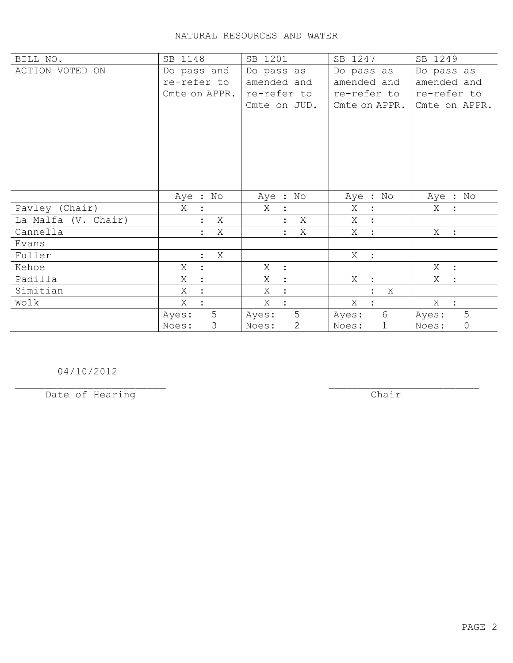## NATURAL RESOURCES AND WATER

| BILL NO.            | SB 1148                   | SB 1201                   | SB 1247             | SB 1249               |
|---------------------|---------------------------|---------------------------|---------------------|-----------------------|
| ACTION VOTED ON     | Do pass and               | Do pass as                | Do pass as          | Do pass as            |
|                     | re-refer to               | amended and               | amended and         | amended and           |
|                     | Cmte on APPR.             | re-refer to               | re-refer to         | re-refer to           |
|                     |                           | Cmte on JUD.              | Cmte on APPR.       | Cmte on APPR.         |
|                     |                           |                           |                     |                       |
|                     |                           |                           |                     |                       |
|                     |                           |                           |                     |                       |
|                     |                           |                           |                     |                       |
|                     |                           |                           |                     |                       |
|                     |                           |                           |                     |                       |
|                     |                           |                           |                     |                       |
|                     | Aye : No                  | Aye : No                  | Aye : No            | Aye : No              |
| Pavley (Chair)      | X                         | X<br>$\ddot{\cdot}$       | Χ<br>$\ddot{\cdot}$ | X                     |
| La Malfa (V. Chair) | X<br>$\ddot{\cdot}$       | X                         | X :                 |                       |
| Cannella            | Χ<br>$\ddot{\phantom{a}}$ | Χ<br>$\ddot{\phantom{a}}$ | X<br>$\ddot{\cdot}$ | X :                   |
| Evans               |                           |                           |                     |                       |
| Fuller              | Χ<br>$\ddot{\cdot}$       |                           | X :                 |                       |
| Kehoe               | Χ<br>$\ddot{\cdot}$       | Χ<br>$\mathbb{R}^2$       |                     | $X$ :                 |
| Padilla             | Χ                         | X<br>$\ddot{\cdot}$       | X<br>$\ddot{\cdot}$ | X                     |
| Simitian            | Χ                         | X<br>$\ddot{\phantom{a}}$ | Χ                   |                       |
| Wolk                | Χ<br>$\ddot{\cdot}$       | X<br>$\ddot{\cdot}$       | X<br>$\ddot{\cdot}$ | X :                   |
|                     | 5<br>Ayes:                | 5<br>Ayes:                | 6<br>Ayes:          | 5<br>Ayes:            |
|                     | 3<br>Noes:                | 2<br>Noes:                | Noes:<br>1          | $\mathsf{O}$<br>Noes: |

04/10/2012

Date of Hearing

 $\overline{**chair**}$